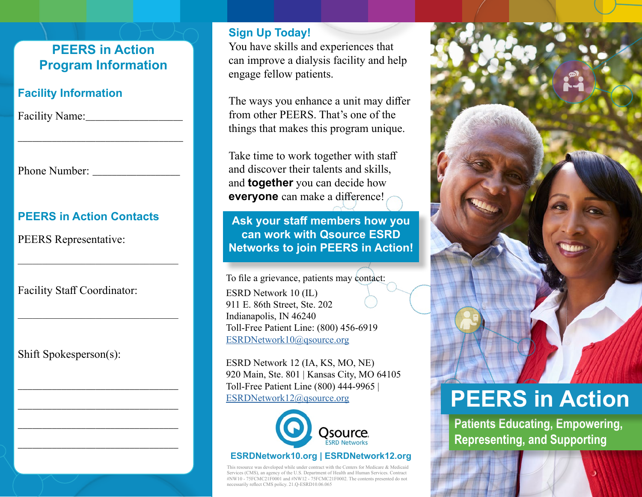# **PEERS in Action Program Information**

\_\_\_\_\_\_\_\_\_\_\_\_\_\_\_\_\_\_\_\_\_\_\_\_\_\_\_\_\_\_\_\_\_\_

# **Facility Information**

Facility Name:

Phone Number:

# **PEERS in Action Contacts**

 $\mathcal{L}$  , which is a set of the set of the set of the set of the set of the set of the set of the set of the set of the set of the set of the set of the set of the set of the set of the set of the set of the set of the s

\_\_\_\_\_\_\_\_\_\_\_\_\_\_\_\_\_\_\_\_\_\_\_\_\_\_\_\_\_\_\_\_\_

\_\_\_\_\_\_\_\_\_\_\_\_\_\_\_\_\_\_\_\_\_\_\_\_\_\_\_\_\_\_\_\_\_

\_\_\_\_\_\_\_\_\_\_\_\_\_\_\_\_\_\_\_\_\_\_\_\_\_\_\_\_\_\_\_\_\_

\_\_\_\_\_\_\_\_\_\_\_\_\_\_\_\_\_\_\_\_\_\_\_\_\_\_\_\_\_\_\_\_\_

PEERS Representative:

Facility Staff Coordinator:

Shift Spokesperson(s):

### **Sign Up Today!**

You have skills and experiences that can improve a dialysis facility and help engage fellow patients.

The ways you enhance a unit may differ from other PEERS. That's one of the things that makes this program unique.

Take time to work together with staff and discover their talents and skills, and **together** you can decide how **everyone** can make a difference!

**Ask your staff members how you can work with Qsource ESRD Networks to join PEERS in Action!** 

To file a grievance, patients may contact: ESRD Network 10 (IL) 911 E. 86th Street, Ste. 202 Indianapolis, IN 46240 Toll-Free Patient Line: (800) 456‐6919 [ESRDNetwork10@qsource.org](mailto:ESRDNetwork10%40qsource.org%0D?subject=)

ESRD Network 12 (IA, KS, MO, NE) 920 Main, Ste. 801 | Kansas City, MO 64105 Toll-Free Patient Line (800) 444-9965 | ESRDNetwork12@qsource.org



#### **ESRDNetwork10.org | ESRDNetwork12.org**

This resource was developed while under contract with the Centers for Medicare & Medicaid Services (CMS), an agency of the U.S. Department of Health and Human Services. Contract #NW10 - 75FCMC21F0001 and #NW12 - 75FCMC21F0002. The contents presented do not necessarily reflect CMS policy. 21.Q-ESRD10.06.065



# **PEERS in Action**

**Patients Educating, Empowering, Representing, and Supporting**